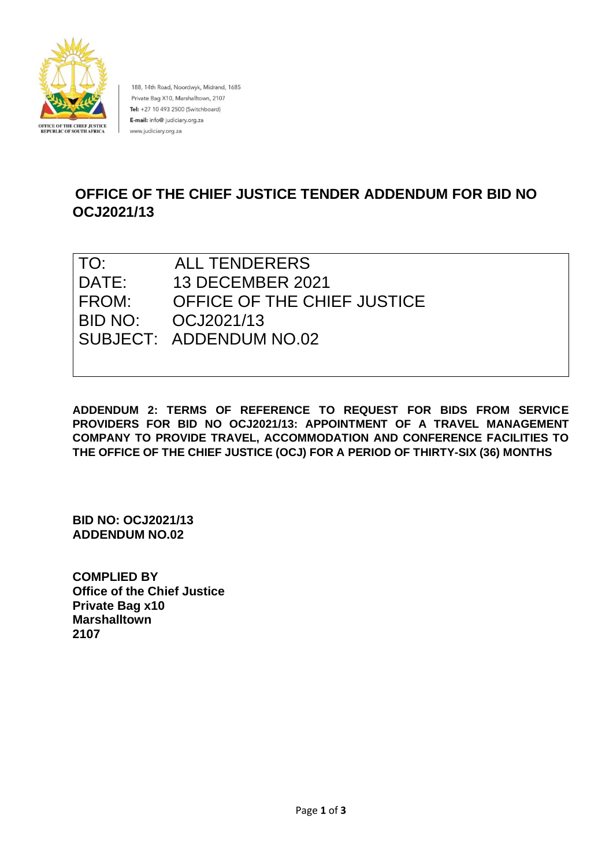

188, 14th Road, Noordwyk, Midrand, 1685 Private Bag X10, Marshalltown, 2107 Tel: +27 10 493 2500 (Switchboard) E-mail: info@ judiciary.org.za www.judiciary.org.za

# **OFFICE OF THE CHIEF JUSTICE TENDER ADDENDUM FOR BID NO OCJ2021/13**

| TO:   | <b>ALL TENDERERS</b>        |
|-------|-----------------------------|
| DATE: | <b>13 DECEMBER 2021</b>     |
| FROM: | OFFICE OF THE CHIEF JUSTICE |
|       |                             |
|       | SUBJECT: ADDENDUM NO.02     |
|       |                             |

**ADDENDUM 2: TERMS OF REFERENCE TO REQUEST FOR BIDS FROM SERVICE PROVIDERS FOR BID NO OCJ2021/13: APPOINTMENT OF A TRAVEL MANAGEMENT COMPANY TO PROVIDE TRAVEL, ACCOMMODATION AND CONFERENCE FACILITIES TO THE OFFICE OF THE CHIEF JUSTICE (OCJ) FOR A PERIOD OF THIRTY-SIX (36) MONTHS**

**BID NO: OCJ2021/13 ADDENDUM NO.02**

**COMPLIED BY Office of the Chief Justice Private Bag x10 Marshalltown 2107**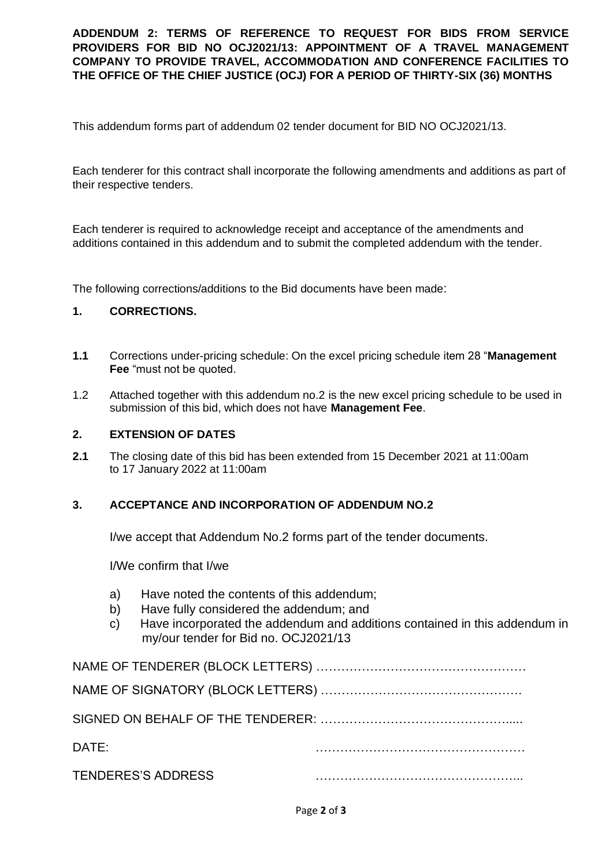**ADDENDUM 2: TERMS OF REFERENCE TO REQUEST FOR BIDS FROM SERVICE PROVIDERS FOR BID NO OCJ2021/13: APPOINTMENT OF A TRAVEL MANAGEMENT COMPANY TO PROVIDE TRAVEL, ACCOMMODATION AND CONFERENCE FACILITIES TO THE OFFICE OF THE CHIEF JUSTICE (OCJ) FOR A PERIOD OF THIRTY-SIX (36) MONTHS**

This addendum forms part of addendum 02 tender document for BID NO OCJ2021/13.

Each tenderer for this contract shall incorporate the following amendments and additions as part of their respective tenders.

Each tenderer is required to acknowledge receipt and acceptance of the amendments and additions contained in this addendum and to submit the completed addendum with the tender.

The following corrections/additions to the Bid documents have been made:

## **1. CORRECTIONS.**

- **1.1** Corrections under-pricing schedule: On the excel pricing schedule item 28 "**Management Fee** "must not be quoted.
- 1.2 Attached together with this addendum no.2 is the new excel pricing schedule to be used in submission of this bid, which does not have **Management Fee**.

### **2. EXTENSION OF DATES**

**2.1** The closing date of this bid has been extended from 15 December 2021 at 11:00am to 17 January 2022 at 11:00am

#### **3. ACCEPTANCE AND INCORPORATION OF ADDENDUM NO.2**

I/we accept that Addendum No.2 forms part of the tender documents.

I/We confirm that I/we

- a) Have noted the contents of this addendum;
- b) Have fully considered the addendum; and
- c) Have incorporated the addendum and additions contained in this addendum in my/our tender for Bid no. OCJ2021/13

| DATE:                     |  |
|---------------------------|--|
| <b>TENDERES'S ADDRESS</b> |  |